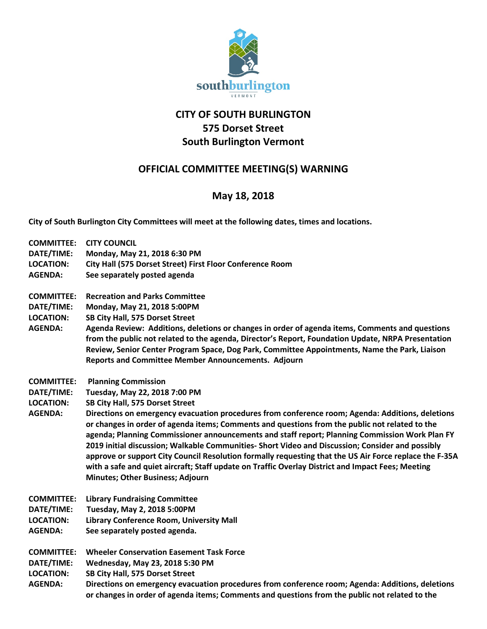

## **CITY OF SOUTH BURLINGTON 575 Dorset Street South Burlington Vermont**

## **OFFICIAL COMMITTEE MEETING(S) WARNING**

## **May 18, 2018**

**City of South Burlington City Committees will meet at the following dates, times and locations.** 

| <b>COMMITTEE:</b> | <b>CITY COUNCIL</b>                                                                                                                                                                                                                                                                                                                                                                                                                                                                                                                                                                                                                                                |
|-------------------|--------------------------------------------------------------------------------------------------------------------------------------------------------------------------------------------------------------------------------------------------------------------------------------------------------------------------------------------------------------------------------------------------------------------------------------------------------------------------------------------------------------------------------------------------------------------------------------------------------------------------------------------------------------------|
| DATE/TIME:        | Monday, May 21, 2018 6:30 PM                                                                                                                                                                                                                                                                                                                                                                                                                                                                                                                                                                                                                                       |
| <b>LOCATION:</b>  | City Hall (575 Dorset Street) First Floor Conference Room                                                                                                                                                                                                                                                                                                                                                                                                                                                                                                                                                                                                          |
| <b>AGENDA:</b>    | See separately posted agenda                                                                                                                                                                                                                                                                                                                                                                                                                                                                                                                                                                                                                                       |
| <b>COMMITTEE:</b> | <b>Recreation and Parks Committee</b>                                                                                                                                                                                                                                                                                                                                                                                                                                                                                                                                                                                                                              |
| DATE/TIME:        | Monday, May 21, 2018 5:00PM                                                                                                                                                                                                                                                                                                                                                                                                                                                                                                                                                                                                                                        |
| <b>LOCATION:</b>  | SB City Hall, 575 Dorset Street                                                                                                                                                                                                                                                                                                                                                                                                                                                                                                                                                                                                                                    |
| <b>AGENDA:</b>    | Agenda Review: Additions, deletions or changes in order of agenda items, Comments and questions<br>from the public not related to the agenda, Director's Report, Foundation Update, NRPA Presentation<br>Review, Senior Center Program Space, Dog Park, Committee Appointments, Name the Park, Liaison<br><b>Reports and Committee Member Announcements. Adjourn</b>                                                                                                                                                                                                                                                                                               |
| <b>COMMITTEE:</b> | <b>Planning Commission</b>                                                                                                                                                                                                                                                                                                                                                                                                                                                                                                                                                                                                                                         |
| DATE/TIME:        | Tuesday, May 22, 2018 7:00 PM                                                                                                                                                                                                                                                                                                                                                                                                                                                                                                                                                                                                                                      |
| <b>LOCATION:</b>  | SB City Hall, 575 Dorset Street                                                                                                                                                                                                                                                                                                                                                                                                                                                                                                                                                                                                                                    |
| <b>AGENDA:</b>    | Directions on emergency evacuation procedures from conference room; Agenda: Additions, deletions<br>or changes in order of agenda items; Comments and questions from the public not related to the<br>agenda; Planning Commissioner announcements and staff report; Planning Commission Work Plan FY<br>2019 initial discussion; Walkable Communities- Short Video and Discussion; Consider and possibly<br>approve or support City Council Resolution formally requesting that the US Air Force replace the F-35A<br>with a safe and quiet aircraft; Staff update on Traffic Overlay District and Impact Fees; Meeting<br><b>Minutes; Other Business; Adjourn</b> |
| <b>COMMITTEE:</b> | <b>Library Fundraising Committee</b>                                                                                                                                                                                                                                                                                                                                                                                                                                                                                                                                                                                                                               |
| DATE/TIME:        | Tuesday, May 2, 2018 5:00PM                                                                                                                                                                                                                                                                                                                                                                                                                                                                                                                                                                                                                                        |
| <b>LOCATION:</b>  | Library Conference Room, University Mall                                                                                                                                                                                                                                                                                                                                                                                                                                                                                                                                                                                                                           |
| <b>AGENDA:</b>    | See separately posted agenda.                                                                                                                                                                                                                                                                                                                                                                                                                                                                                                                                                                                                                                      |
| <b>COMMITTEE:</b> | <b>Wheeler Conservation Easement Task Force</b>                                                                                                                                                                                                                                                                                                                                                                                                                                                                                                                                                                                                                    |
| DATE/TIME:        | Wednesday, May 23, 2018 5:30 PM                                                                                                                                                                                                                                                                                                                                                                                                                                                                                                                                                                                                                                    |
| <b>LOCATION:</b>  | SB City Hall, 575 Dorset Street                                                                                                                                                                                                                                                                                                                                                                                                                                                                                                                                                                                                                                    |
| <b>AGENDA:</b>    | Directions on emergency evacuation procedures from conference room; Agenda: Additions, deletions<br>or changes in order of agenda items; Comments and questions from the public not related to the                                                                                                                                                                                                                                                                                                                                                                                                                                                                 |